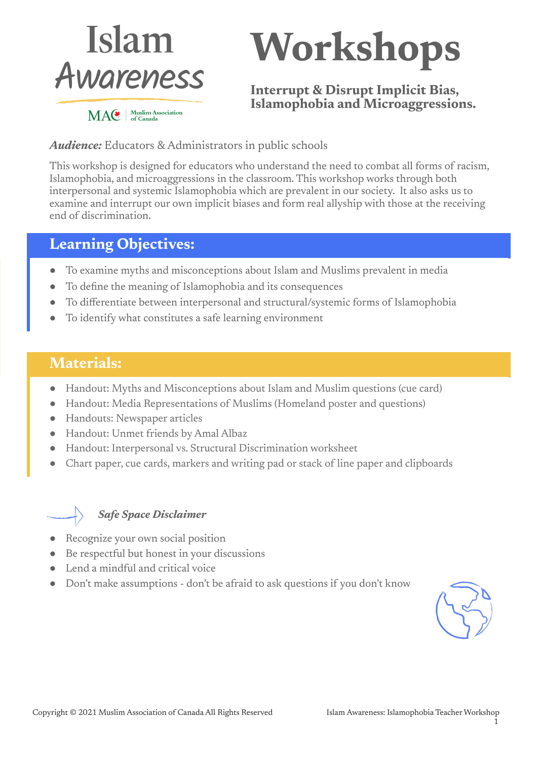

# **Workshops**

**Interrupt & Disrupt Implicit Bias, Islamophobia and Microaggressions.**

#### *Audience:* Educators & Administrators in public schools

This workshop is designed for educators who understand the need to combat all forms of racism, Islamophobia, and microaggressions in the classroom. This workshop works through both interpersonal and systemic Islamophobia which are prevalent in our society. It also asks us to examine and interrupt our own implicit biases and form real allyship with those at the receiving end of discrimination.

## **Learning Objectives:**

- To examine myths and misconceptions about Islam and Muslims prevalent in media
- To define the meaning of Islamophobia and its consequences
- To differentiate between interpersonal and structural/systemic forms of Islamophobia
- To identify what constitutes a safe learning environment

# **Materials:**

- Handout: Myths and Misconceptions about Islam and Muslim questions (cue card)
- Handout: Media Representations of Muslims (Homeland poster and questions)
- Handouts: Newspaper articles
- Handout: Unmet friends by Amal Albaz
- Handout: Interpersonal vs. Structural Discrimination worksheet
- Chart paper, cue cards, markers and writing pad or stack of line paper and clipboards

#### *Safe Space Disclaimer*

- Recognize your own social position
- Be respectful but honest in your discussions
- Lend a mindful and critical voice
- Don't make assumptions don't be afraid to ask questions if you don't know

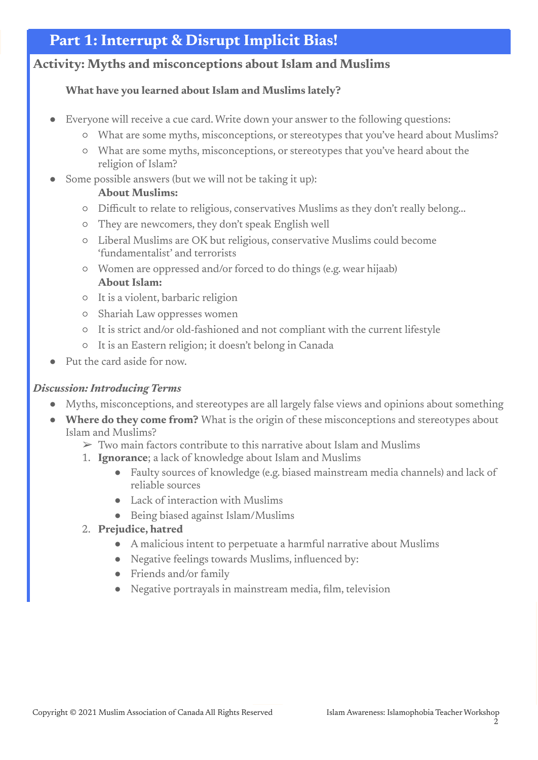# **Part 1: Interrupt & Disrupt Implicit Bias!**

#### **Activity: Myths and misconceptions about Islam and Muslims**

#### **What have you learned about Islam and Muslims lately?**

- Everyone will receive a cue card. Write down your answer to the following questions:
	- What are some myths, misconceptions, or stereotypes that you've heard about Muslims?
	- What are some myths, misconceptions, or stereotypes that you've heard about the religion of Islam?
- Some possible answers (but we will not be taking it up):

#### **About Muslims:**

- Difficult to relate to religious, conservatives Muslims as they don't really belong...
- They are newcomers, they don't speak English well
- Liberal Muslims are OK but religious, conservative Muslims could become 'fundamentalist' and terrorists
- Women are oppressed and/or forced to do things (e.g. wear hijaab) **About Islam:**
- It is a violent, barbaric religion
- Shariah Law oppresses women
- It is strict and/or old-fashioned and not compliant with the current lifestyle
- It is an Eastern religion; it doesn't belong in Canada
- Put the card aside for now.

#### *Discussion: Introducing Terms*

- Myths, misconceptions, and stereotypes are all largely false views and opinions about something
- **Where do they come from?** What is the origin of these misconceptions and stereotypes about Islam and Muslims?
	- $\triangleright$  Two main factors contribute to this narrative about Islam and Muslims
	- 1. **Ignorance**; a lack of knowledge about Islam and Muslims
		- Faulty sources of knowledge (e.g. biased mainstream media channels) and lack of reliable sources
		- Lack of interaction with Muslims
		- Being biased against Islam/Muslims
	- 2. **Prejudice, hatred**
		- A malicious intent to perpetuate a harmful narrative about Muslims
		- Negative feelings towards Muslims, influenced by:
		- Friends and/or family
		- Negative portrayals in mainstream media, film, television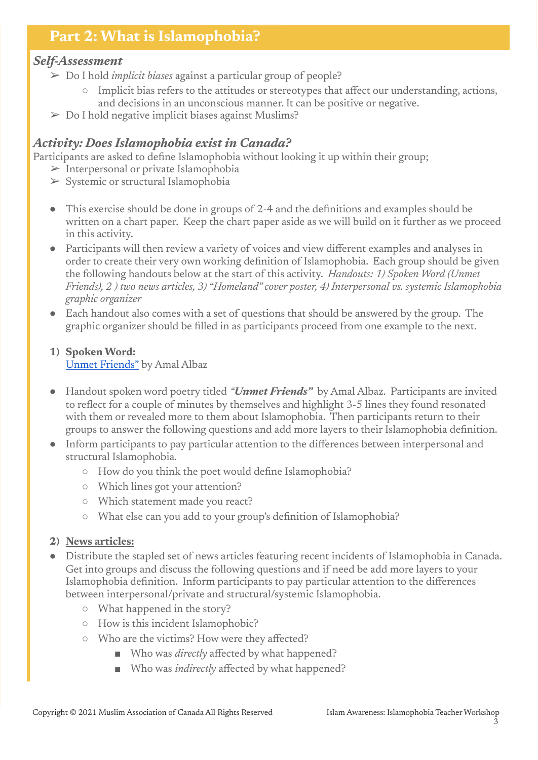# **Part 2: What is Islamophobia?**

#### *Self-Assessment*

- ➢ Do I hold *implicit biases* against a particular group of people?
	- Implicit bias refers to the attitudes or stereotypes that affect our understanding, actions, and decisions in an unconscious manner. It can be positive or negative.
- $\triangleright$  Do I hold negative implicit biases against Muslims?

### *Activity: Does Islamophobia exist in Canada?*

Participants are asked to define Islamophobia without looking it up within their group;

- $\triangleright$  Interpersonal or private Islamophobia
- ➢ Systemic or structural Islamophobia
- This exercise should be done in groups of 2-4 and the definitions and examples should be written on a chart paper. Keep the chart paper aside as we will build on it further as we proceed in this activity.
- Participants will then review a variety of voices and view different examples and analyses in order to create their very own working definition of Islamophobia. Each group should be given the following handouts below at the start of this activity. *Handouts: 1) Spoken Word (Unmet Friends), 2 ) two news articles, 3) "Homeland" cover poster, 4) Interpersonal vs. systemic Islamophobia graphic organizer*
- Each handout also comes with a set of questions that should be answered by the group. The graphic organizer should be filled in as participants proceed from one example to the next.

#### **1) Spoken Word:** Unmet [Friends"](https://drive.google.com/file/d/1yvkijoigdSqscV0Cy2pWo0Udby5GaYXh/view?usp=sharing) by Amal Albaz

- Handout spoken word poetry titled *"Unmet Friends"* by Amal Albaz. Participants are invited to reflect for a couple of minutes by themselves and highlight 3-5 lines they found resonated with them or revealed more to them about Islamophobia. Then participants return to their groups to answer the following questions and add more layers to their Islamophobia definition.
- Inform participants to pay particular attention to the differences between interpersonal and structural Islamophobia.
	- How do you think the poet would define Islamophobia?
	- Which lines got your attention?
	- Which statement made you react?
	- What else can you add to your group's definition of Islamophobia?

#### **2) News articles:**

- Distribute the stapled set of news articles featuring recent incidents of Islamophobia in Canada. Get into groups and discuss the following questions and if need be add more layers to your Islamophobia definition. Inform participants to pay particular attention to the differences between interpersonal/private and structural/systemic Islamophobia.
	- What happened in the story?
	- How is this incident Islamophobic?
	- Who are the victims? How were they affected?
		- Who was *directly* affected by what happened?
		- Who was *indirectly* affected by what happened?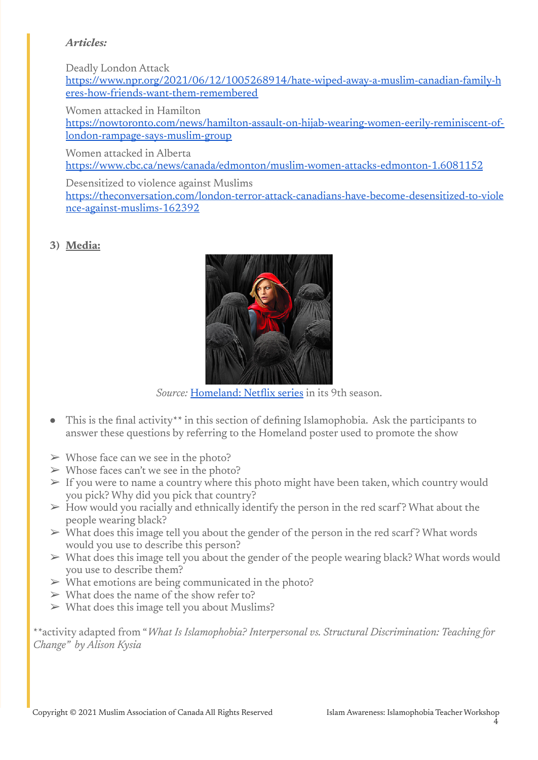#### *Articles:*

Deadly London Attack

[https://www.npr.org/2021/06/12/1005268914/hate-wiped-away-a-muslim-canadian-family-h](https://www.npr.org/2021/06/12/1005268914/hate-wiped-away-a-muslim-canadian-family-heres-how-friends-want-them-remembered) [eres-how-friends-want-them-remembered](https://www.npr.org/2021/06/12/1005268914/hate-wiped-away-a-muslim-canadian-family-heres-how-friends-want-them-remembered)

Women attacked in Hamilton

[https://nowtoronto.com/news/hamilton-assault-on-hijab-wearing-women-eerily-reminiscent-of](https://nowtoronto.com/news/hamilton-assault-on-hijab-wearing-women-eerily-reminiscent-of-london-rampage-says-muslim-group)[london-rampage-says-muslim-group](https://nowtoronto.com/news/hamilton-assault-on-hijab-wearing-women-eerily-reminiscent-of-london-rampage-says-muslim-group)

Women attacked in Alberta

<https://www.cbc.ca/news/canada/edmonton/muslim-women-attacks-edmonton-1.6081152>

Desensitized to violence against Muslims

[https://theconversation.com/london-terror-attack-canadians-have-become-desensitized-to-viole](https://theconversation.com/london-terror-attack-canadians-have-become-desensitized-to-violence-against-muslims-162392) [nce-against-muslims-162392](https://theconversation.com/london-terror-attack-canadians-have-become-desensitized-to-violence-against-muslims-162392)

**3) Media:**



*Source:* [Homeland:](https://drive.google.com/file/d/1CM-mQdEg8wLSIT4RuEaibU4jVy2DXecj/view?usp=sharing) Netflix series in its 9th season.

- This is the final activity\*\* in this section of defining Islamophobia. Ask the participants to answer these questions by referring to the Homeland poster used to promote the show
- $\triangleright$  Whose face can we see in the photo?
- $\triangleright$  Whose faces can't we see in the photo?
- $\triangleright$  If you were to name a country where this photo might have been taken, which country would you pick? Why did you pick that country?
- $\triangleright$  How would you racially and ethnically identify the person in the red scarf? What about the people wearing black?
- $\triangleright$  What does this image tell you about the gender of the person in the red scarf? What words would you use to describe this person?
- $\triangleright$  What does this image tell you about the gender of the people wearing black? What words would you use to describe them?
- $\triangleright$  What emotions are being communicated in the photo?
- $\triangleright$  What does the name of the show refer to?
- $\triangleright$  What does this image tell you about Muslims?

\*\*activity adapted from "*What Is Islamophobia? Interpersonal vs. Structural Discrimination: Teaching for Change" by Alison Kysia*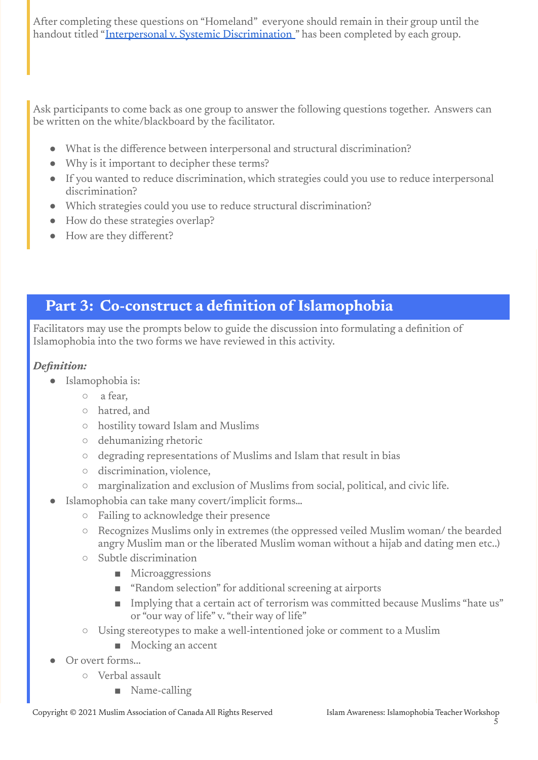After completing these questions on "Homeland" everyone should remain in their group until the handout titled "Interpersonal v. Systemic [Discrimination](https://docs.google.com/document/d/1lrSI0DftF5h1eWUiyxpYBUxTeYWHA4R3xMU8_2uk7hQ/edit?usp=sharing) " has been completed by each group.

Ask participants to come back as one group to answer the following questions together. Answers can be written on the white/blackboard by the facilitator.

- What is the difference between interpersonal and structural discrimination?
- Why is it important to decipher these terms?
- If you wanted to reduce discrimination, which strategies could you use to reduce interpersonal discrimination?
- Which strategies could you use to reduce structural discrimination?
- How do these strategies overlap?
- How are they different?

# **Part 3: Co-construct a definition of Islamophobia**

Facilitators may use the prompts below to guide the discussion into formulating a definition of Islamophobia into the two forms we have reviewed in this activity.

#### *Definition:*

- Islamophobia is:
	- a fear,
	- hatred, and
	- hostility toward Islam and Muslims
	- dehumanizing rhetoric
	- degrading representations of Muslims and Islam that result in bias
	- discrimination, violence,
	- marginalization and exclusion of Muslims from social, political, and civic life.
- Islamophobia can take many covert/implicit forms...
	- Failing to acknowledge their presence
	- Recognizes Muslims only in extremes (the oppressed veiled Muslim woman/ the bearded angry Muslim man or the liberated Muslim woman without a hijab and dating men etc..)
	- Subtle discrimination
		- Microaggressions
		- "Random selection" for additional screening at airports
		- Implying that a certain act of terrorism was committed because Muslims "hate us" or "our way of life" v. "their way of life"
	- Using stereotypes to make a well-intentioned joke or comment to a Muslim
		- Mocking an accent
- Or overt forms...
	- Verbal assault
		- Name-calling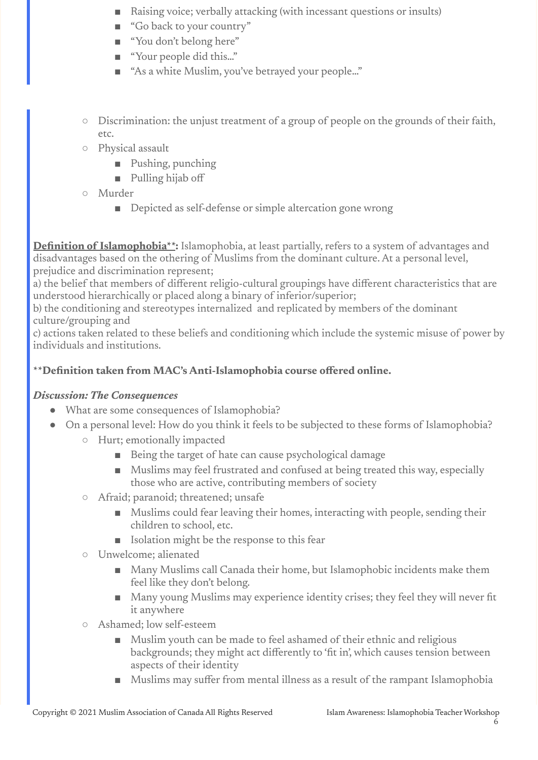- Raising voice; verbally attacking (with incessant questions or insults)
- "Go back to your country"
- "You don't belong here"
- "Your people did this..."
- "As a white Muslim, you've betrayed your people…"
- Discrimination: the unjust treatment of a group of people on the grounds of their faith, etc.
- Physical assault
	- Pushing, punching
	- Pulling hijab off
- Murder
	- Depicted as self-defense or simple altercation gone wrong

**Definition of Islamophobia\*\*:** Islamophobia, at least partially, refers to a system of advantages and disadvantages based on the othering of Muslims from the dominant culture. At a personal level, prejudice and discrimination represent;

a) the belief that members of different religio-cultural groupings have different characteristics that are understood hierarchically or placed along a binary of inferior/superior;

b) the conditioning and stereotypes internalized and replicated by members of the dominant culture/grouping and

c) actions taken related to these beliefs and conditioning which include the systemic misuse of power by individuals and institutions.

#### **\*\*Definition taken from MAC's Anti-Islamophobia course offered online.**

#### *Discussion: The Consequences*

- What are some consequences of Islamophobia?
- On a personal level: How do you think it feels to be subjected to these forms of Islamophobia?
	- Hurt; emotionally impacted
		- Being the target of hate can cause psychological damage
		- Muslims may feel frustrated and confused at being treated this way, especially those who are active, contributing members of society
	- Afraid; paranoid; threatened; unsafe
		- Muslims could fear leaving their homes, interacting with people, sending their children to school, etc.
		- Isolation might be the response to this fear
	- Unwelcome; alienated
		- Many Muslims call Canada their home, but Islamophobic incidents make them feel like they don't belong.
		- Many young Muslims may experience identity crises; they feel they will never fit it anywhere
	- Ashamed; low self-esteem
		- Muslim youth can be made to feel ashamed of their ethnic and religious backgrounds; they might act differently to 'fit in', which causes tension between aspects of their identity
		- Muslims may suffer from mental illness as a result of the rampant Islamophobia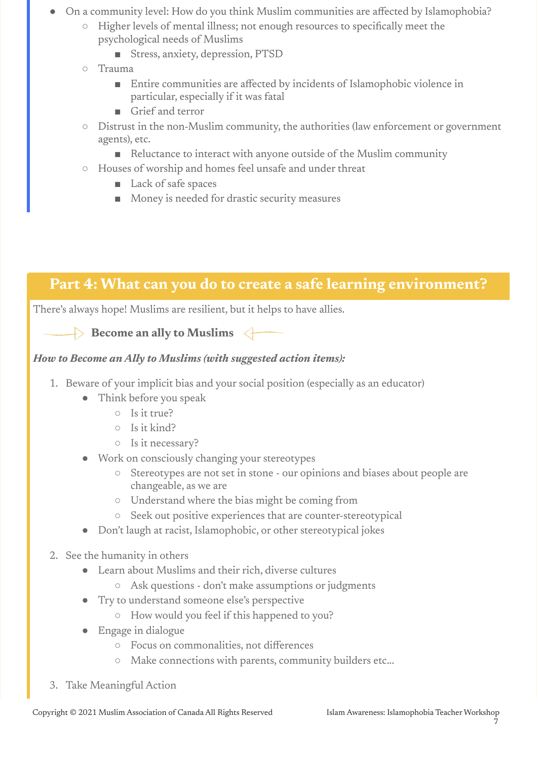- On a community level: How do you think Muslim communities are affected by Islamophobia?
	- Higher levels of mental illness; not enough resources to specifically meet the psychological needs of Muslims
		- Stress, anxiety, depression, PTSD
	- Trauma
		- Entire communities are affected by incidents of Islamophobic violence in particular, especially if it was fatal
		- Grief and terror
	- Distrust in the non-Muslim community, the authorities (law enforcement or government agents), etc.
		- Reluctance to interact with anyone outside of the Muslim community
	- Houses of worship and homes feel unsafe and under threat
		- Lack of safe spaces
		- Money is needed for drastic security measures

# **Part 4: What can you do to create a safe learning environment?**

There's always hope! Muslims are resilient, but it helps to have allies.



### *How to Become an Ally to Muslims (with suggested action items):*

- 1. Beware of your implicit bias and your social position (especially as an educator)
	- Think before you speak
		- Is it true?
		- Is it kind?
		- Is it necessary?
	- Work on consciously changing your stereotypes
		- Stereotypes are not set in stone our opinions and biases about people are changeable, as we are
		- Understand where the bias might be coming from
		- Seek out positive experiences that are counter-stereotypical
	- Don't laugh at racist, Islamophobic, or other stereotypical jokes
- 2. See the humanity in others
	- Learn about Muslims and their rich, diverse cultures
		- Ask questions don't make assumptions or judgments
	- Try to understand someone else's perspective
		- How would you feel if this happened to you?
	- Engage in dialogue
		- Focus on commonalities, not differences
		- Make connections with parents, community builders etc...
- 3. Take Meaningful Action